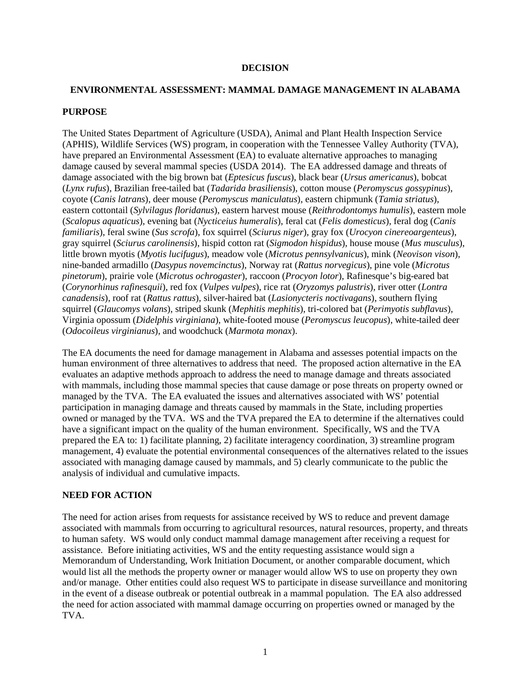#### **DECISION**

# **ENVIRONMENTAL ASSESSMENT: MAMMAL DAMAGE MANAGEMENT IN ALABAMA**

#### **PURPOSE**

The United States Department of Agriculture (USDA), Animal and Plant Health Inspection Service (APHIS), Wildlife Services (WS) program, in cooperation with the Tennessee Valley Authority (TVA), have prepared an Environmental Assessment (EA) to evaluate alternative approaches to managing damage caused by several mammal species (USDA 2014). The EA addressed damage and threats of damage associated with the big brown bat (*Eptesicus fuscus*), black bear (*Ursus americanus*), bobcat (*Lynx rufus*), Brazilian free-tailed bat (*Tadarida brasiliensis*), cotton mouse (*Peromyscus gossypinus*), coyote (*Canis latrans*), deer mouse (*Peromyscus maniculatus*), eastern chipmunk (*Tamia striatus*), eastern cottontail (*Sylvilagus floridanus*), eastern harvest mouse (*Reithrodontomys humulis*), eastern mole (*Scalopus aquaticus*), evening bat (*Nycticeius humeralis*), feral cat (*Felis domesticus*), feral dog (*Canis familiaris*), feral swine (*Sus scrofa*), fox squirrel (*Sciurus niger*), gray fox (*Urocyon cinereoargenteus*), gray squirrel (*Sciurus carolinensis*), hispid cotton rat (*Sigmodon hispidus*), house mouse (*Mus musculus*), little brown myotis (*Myotis lucifugus*), meadow vole (*Microtus pennsylvanicus*), mink (*Neovison vison*), nine-banded armadillo (*Dasypus novemcinctus*), Norway rat (*Rattus norvegicus*), pine vole (*Microtus pinetorum*), prairie vole (*Microtus ochrogaster*), raccoon (*Procyon lotor*), Rafinesque's big-eared bat (*Corynorhinus rafinesquii*), red fox (*Vulpes vulpes*), rice rat (*Oryzomys palustris*), river otter (*Lontra canadensis*), roof rat (*Rattus rattus*), silver-haired bat (*Lasionycteris noctivagans*), southern flying squirrel (*Glaucomys volans*), striped skunk (*Mephitis mephitis*), tri-colored bat (*Perimyotis subflavus*), Virginia opossum (*Didelphis virginiana*), white-footed mouse (*Peromyscus leucopus*), white-tailed deer (*Odocoileus virginianus*), and woodchuck (*Marmota monax*).

The EA documents the need for damage management in Alabama and assesses potential impacts on the human environment of three alternatives to address that need. The proposed action alternative in the EA evaluates an adaptive methods approach to address the need to manage damage and threats associated with mammals, including those mammal species that cause damage or pose threats on property owned or managed by the TVA. The EA evaluated the issues and alternatives associated with WS' potential participation in managing damage and threats caused by mammals in the State, including properties owned or managed by the TVA. WS and the TVA prepared the EA to determine if the alternatives could have a significant impact on the quality of the human environment. Specifically, WS and the TVA prepared the EA to: 1) facilitate planning, 2) facilitate interagency coordination, 3) streamline program management, 4) evaluate the potential environmental consequences of the alternatives related to the issues associated with managing damage caused by mammals, and 5) clearly communicate to the public the analysis of individual and cumulative impacts.

### **NEED FOR ACTION**

The need for action arises from requests for assistance received by WS to reduce and prevent damage associated with mammals from occurring to agricultural resources, natural resources, property, and threats to human safety. WS would only conduct mammal damage management after receiving a request for assistance. Before initiating activities, WS and the entity requesting assistance would sign a Memorandum of Understanding, Work Initiation Document, or another comparable document, which would list all the methods the property owner or manager would allow WS to use on property they own and/or manage. Other entities could also request WS to participate in disease surveillance and monitoring in the event of a disease outbreak or potential outbreak in a mammal population. The EA also addressed the need for action associated with mammal damage occurring on properties owned or managed by the TVA.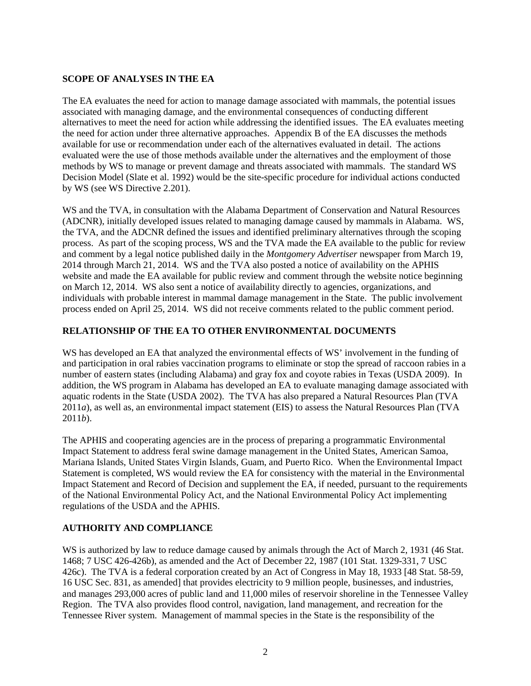# **SCOPE OF ANALYSES IN THE EA**

The EA evaluates the need for action to manage damage associated with mammals, the potential issues associated with managing damage, and the environmental consequences of conducting different alternatives to meet the need for action while addressing the identified issues. The EA evaluates meeting the need for action under three alternative approaches. Appendix B of the EA discusses the methods available for use or recommendation under each of the alternatives evaluated in detail. The actions evaluated were the use of those methods available under the alternatives and the employment of those methods by WS to manage or prevent damage and threats associated with mammals. The standard WS Decision Model (Slate et al. 1992) would be the site-specific procedure for individual actions conducted by WS (see WS Directive 2.201).

WS and the TVA, in consultation with the Alabama Department of Conservation and Natural Resources (ADCNR), initially developed issues related to managing damage caused by mammals in Alabama. WS, the TVA, and the ADCNR defined the issues and identified preliminary alternatives through the scoping process. As part of the scoping process, WS and the TVA made the EA available to the public for review and comment by a legal notice published daily in the *Montgomery Advertiser* newspaper from March 19, 2014 through March 21, 2014. WS and the TVA also posted a notice of availability on the APHIS website and made the EA available for public review and comment through the website notice beginning on March 12, 2014. WS also sent a notice of availability directly to agencies, organizations, and individuals with probable interest in mammal damage management in the State. The public involvement process ended on April 25, 2014. WS did not receive comments related to the public comment period.

### **RELATIONSHIP OF THE EA TO OTHER ENVIRONMENTAL DOCUMENTS**

WS has developed an EA that analyzed the environmental effects of WS' involvement in the funding of and participation in oral rabies vaccination programs to eliminate or stop the spread of raccoon rabies in a number of eastern states (including Alabama) and gray fox and coyote rabies in Texas (USDA 2009). In addition, the WS program in Alabama has developed an EA to evaluate managing damage associated with aquatic rodents in the State (USDA 2002). The TVA has also prepared a Natural Resources Plan (TVA 2011*a*), as well as, an environmental impact statement (EIS) to assess the Natural Resources Plan (TVA 2011*b*).

The APHIS and cooperating agencies are in the process of preparing a programmatic Environmental Impact Statement to address feral swine damage management in the United States, American Samoa, Mariana Islands, United States Virgin Islands, Guam, and Puerto Rico. When the Environmental Impact Statement is completed, WS would review the EA for consistency with the material in the Environmental Impact Statement and Record of Decision and supplement the EA, if needed, pursuant to the requirements of the National Environmental Policy Act, and the National Environmental Policy Act implementing regulations of the USDA and the APHIS.

# **AUTHORITY AND COMPLIANCE**

WS is authorized by law to reduce damage caused by animals through the Act of March 2, 1931 (46 Stat. 1468; 7 USC 426-426b), as amended and the Act of December 22, 1987 (101 Stat. 1329-331, 7 USC 426c). The TVA is a federal corporation created by an Act of Congress in May 18, 1933 [48 Stat. 58-59, 16 USC Sec. 831, as amended] that provides electricity to 9 million people, businesses, and industries, and manages 293,000 acres of public land and 11,000 miles of reservoir shoreline in the Tennessee Valley Region. The TVA also provides flood control, navigation, land management, and recreation for the Tennessee River system. Management of mammal species in the State is the responsibility of the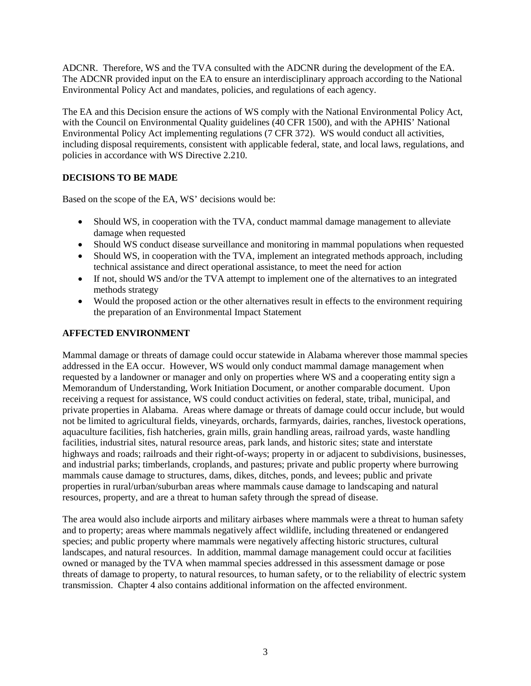ADCNR. Therefore, WS and the TVA consulted with the ADCNR during the development of the EA. The ADCNR provided input on the EA to ensure an interdisciplinary approach according to the National Environmental Policy Act and mandates, policies, and regulations of each agency.

The EA and this Decision ensure the actions of WS comply with the National Environmental Policy Act, with the Council on Environmental Quality guidelines (40 CFR 1500), and with the APHIS' National Environmental Policy Act implementing regulations (7 CFR 372). WS would conduct all activities, including disposal requirements, consistent with applicable federal, state, and local laws, regulations, and policies in accordance with WS Directive 2.210.

# **DECISIONS TO BE MADE**

Based on the scope of the EA, WS' decisions would be:

- Should WS, in cooperation with the TVA, conduct mammal damage management to alleviate damage when requested
- Should WS conduct disease surveillance and monitoring in mammal populations when requested
- Should WS, in cooperation with the TVA, implement an integrated methods approach, including technical assistance and direct operational assistance, to meet the need for action
- If not, should WS and/or the TVA attempt to implement one of the alternatives to an integrated methods strategy
- Would the proposed action or the other alternatives result in effects to the environment requiring the preparation of an Environmental Impact Statement

# **AFFECTED ENVIRONMENT**

Mammal damage or threats of damage could occur statewide in Alabama wherever those mammal species addressed in the EA occur. However, WS would only conduct mammal damage management when requested by a landowner or manager and only on properties where WS and a cooperating entity sign a Memorandum of Understanding, Work Initiation Document, or another comparable document. Upon receiving a request for assistance, WS could conduct activities on federal, state, tribal, municipal, and private properties in Alabama. Areas where damage or threats of damage could occur include, but would not be limited to agricultural fields, vineyards, orchards, farmyards, dairies, ranches, livestock operations, aquaculture facilities, fish hatcheries, grain mills, grain handling areas, railroad yards, waste handling facilities, industrial sites, natural resource areas, park lands, and historic sites; state and interstate highways and roads; railroads and their right-of-ways; property in or adjacent to subdivisions, businesses, and industrial parks; timberlands, croplands, and pastures; private and public property where burrowing mammals cause damage to structures, dams, dikes, ditches, ponds, and levees; public and private properties in rural/urban/suburban areas where mammals cause damage to landscaping and natural resources, property, and are a threat to human safety through the spread of disease.

The area would also include airports and military airbases where mammals were a threat to human safety and to property; areas where mammals negatively affect wildlife, including threatened or endangered species; and public property where mammals were negatively affecting historic structures, cultural landscapes, and natural resources. In addition, mammal damage management could occur at facilities owned or managed by the TVA when mammal species addressed in this assessment damage or pose threats of damage to property, to natural resources, to human safety, or to the reliability of electric system transmission. Chapter 4 also contains additional information on the affected environment.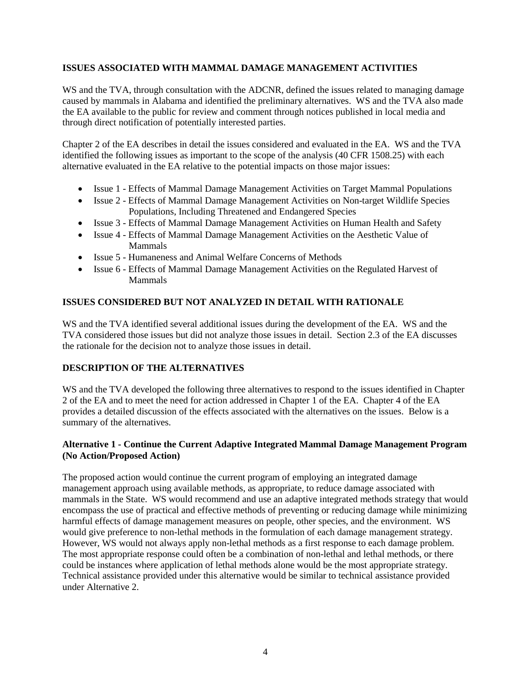### **ISSUES ASSOCIATED WITH MAMMAL DAMAGE MANAGEMENT ACTIVITIES**

WS and the TVA, through consultation with the ADCNR, defined the issues related to managing damage caused by mammals in Alabama and identified the preliminary alternatives. WS and the TVA also made the EA available to the public for review and comment through notices published in local media and through direct notification of potentially interested parties.

Chapter 2 of the EA describes in detail the issues considered and evaluated in the EA. WS and the TVA identified the following issues as important to the scope of the analysis (40 CFR 1508.25) with each alternative evaluated in the EA relative to the potential impacts on those major issues:

- Issue 1 Effects of Mammal Damage Management Activities on Target Mammal Populations
- Issue 2 Effects of Mammal Damage Management Activities on Non-target Wildlife Species Populations, Including Threatened and Endangered Species
- Issue 3 Effects of Mammal Damage Management Activities on Human Health and Safety
- Issue 4 Effects of Mammal Damage Management Activities on the Aesthetic Value of Mammals
- Issue 5 Humaneness and Animal Welfare Concerns of Methods
- Issue 6 Effects of Mammal Damage Management Activities on the Regulated Harvest of Mammals

# **ISSUES CONSIDERED BUT NOT ANALYZED IN DETAIL WITH RATIONALE**

WS and the TVA identified several additional issues during the development of the EA. WS and the TVA considered those issues but did not analyze those issues in detail. Section 2.3 of the EA discusses the rationale for the decision not to analyze those issues in detail.

# **DESCRIPTION OF THE ALTERNATIVES**

WS and the TVA developed the following three alternatives to respond to the issues identified in Chapter 2 of the EA and to meet the need for action addressed in Chapter 1 of the EA. Chapter 4 of the EA provides a detailed discussion of the effects associated with the alternatives on the issues. Below is a summary of the alternatives.

### **Alternative 1 - Continue the Current Adaptive Integrated Mammal Damage Management Program (No Action/Proposed Action)**

The proposed action would continue the current program of employing an integrated damage management approach using available methods, as appropriate, to reduce damage associated with mammals in the State. WS would recommend and use an adaptive integrated methods strategy that would encompass the use of practical and effective methods of preventing or reducing damage while minimizing harmful effects of damage management measures on people, other species, and the environment. WS would give preference to non-lethal methods in the formulation of each damage management strategy. However, WS would not always apply non-lethal methods as a first response to each damage problem. The most appropriate response could often be a combination of non-lethal and lethal methods, or there could be instances where application of lethal methods alone would be the most appropriate strategy. Technical assistance provided under this alternative would be similar to technical assistance provided under Alternative 2.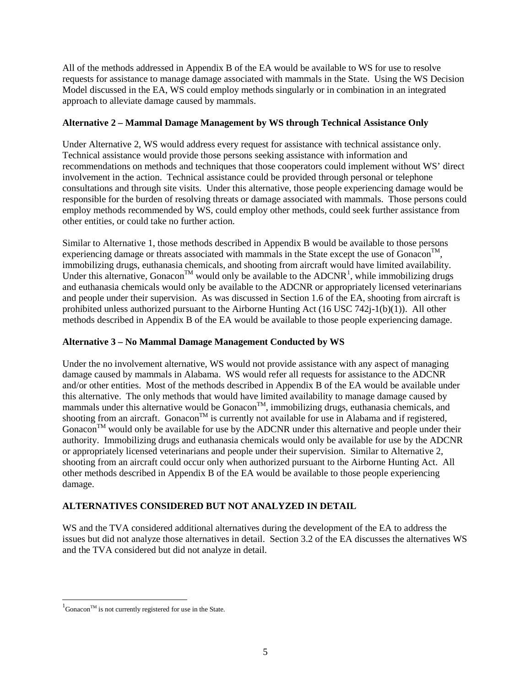All of the methods addressed in Appendix B of the EA would be available to WS for use to resolve requests for assistance to manage damage associated with mammals in the State. Using the WS Decision Model discussed in the EA, WS could employ methods singularly or in combination in an integrated approach to alleviate damage caused by mammals.

### **Alternative 2 – Mammal Damage Management by WS through Technical Assistance Only**

Under Alternative 2, WS would address every request for assistance with technical assistance only. Technical assistance would provide those persons seeking assistance with information and recommendations on methods and techniques that those cooperators could implement without WS' direct involvement in the action. Technical assistance could be provided through personal or telephone consultations and through site visits. Under this alternative, those people experiencing damage would be responsible for the burden of resolving threats or damage associated with mammals. Those persons could employ methods recommended by WS, could employ other methods, could seek further assistance from other entities, or could take no further action.

Similar to Alternative 1, those methods described in Appendix B would be available to those persons experiencing damage or threats associated with mammals in the State except the use of Gonacon<sup>TM</sup>, immobilizing drugs, euthanasia chemicals, and shooting from aircraft would have limited availability. Under this alternative, Gonacon<sup>TM</sup> would only be available to the ADCNR<sup>[1](#page-4-0)</sup>, while immobilizing drugs and euthanasia chemicals would only be available to the ADCNR or appropriately licensed veterinarians and people under their supervision. As was discussed in Section 1.6 of the EA, shooting from aircraft is prohibited unless authorized pursuant to the Airborne Hunting Act  $(16 \text{ USC } 742\text{i}-1(b)(1))$ . All other methods described in Appendix B of the EA would be available to those people experiencing damage.

## **Alternative 3 – No Mammal Damage Management Conducted by WS**

Under the no involvement alternative, WS would not provide assistance with any aspect of managing damage caused by mammals in Alabama. WS would refer all requests for assistance to the ADCNR and/or other entities. Most of the methods described in Appendix B of the EA would be available under this alternative. The only methods that would have limited availability to manage damage caused by mammals under this alternative would be Gonacon<sup>TM</sup>, immobilizing drugs, euthanasia chemicals, and shooting from an aircraft. Gonacon<sup>TM</sup> is currently not available for use in Alabama and if registered,  $G$ onacon<sup>TM</sup> would only be available for use by the ADCNR under this alternative and people under their authority. Immobilizing drugs and euthanasia chemicals would only be available for use by the ADCNR or appropriately licensed veterinarians and people under their supervision. Similar to Alternative 2, shooting from an aircraft could occur only when authorized pursuant to the Airborne Hunting Act. All other methods described in Appendix B of the EA would be available to those people experiencing damage.

# **ALTERNATIVES CONSIDERED BUT NOT ANALYZED IN DETAIL**

WS and the TVA considered additional alternatives during the development of the EA to address the issues but did not analyze those alternatives in detail. Section 3.2 of the EA discusses the alternatives WS and the TVA considered but did not analyze in detail.

 $\overline{a}$ 

<span id="page-4-0"></span> ${}^{1}$ Gonacon<sup>TM</sup> is not currently registered for use in the State.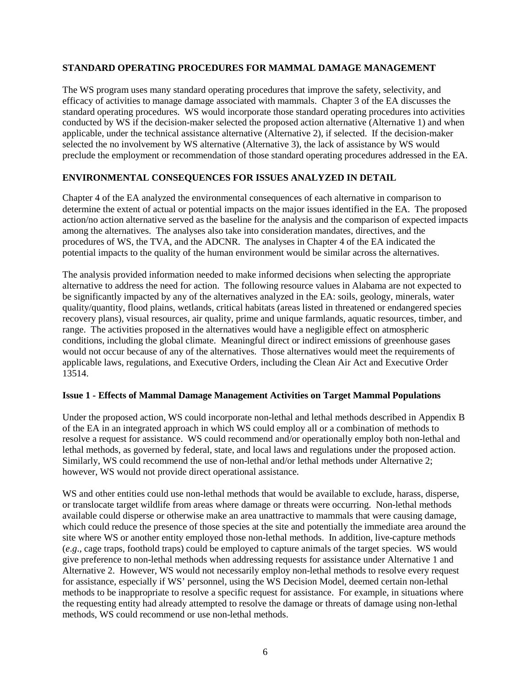#### **STANDARD OPERATING PROCEDURES FOR MAMMAL DAMAGE MANAGEMENT**

The WS program uses many standard operating procedures that improve the safety, selectivity, and efficacy of activities to manage damage associated with mammals. Chapter 3 of the EA discusses the standard operating procedures. WS would incorporate those standard operating procedures into activities conducted by WS if the decision-maker selected the proposed action alternative (Alternative 1) and when applicable, under the technical assistance alternative (Alternative 2), if selected. If the decision-maker selected the no involvement by WS alternative (Alternative 3), the lack of assistance by WS would preclude the employment or recommendation of those standard operating procedures addressed in the EA.

### **ENVIRONMENTAL CONSEQUENCES FOR ISSUES ANALYZED IN DETAIL**

Chapter 4 of the EA analyzed the environmental consequences of each alternative in comparison to determine the extent of actual or potential impacts on the major issues identified in the EA. The proposed action/no action alternative served as the baseline for the analysis and the comparison of expected impacts among the alternatives. The analyses also take into consideration mandates, directives, and the procedures of WS, the TVA, and the ADCNR. The analyses in Chapter 4 of the EA indicated the potential impacts to the quality of the human environment would be similar across the alternatives.

The analysis provided information needed to make informed decisions when selecting the appropriate alternative to address the need for action. The following resource values in Alabama are not expected to be significantly impacted by any of the alternatives analyzed in the EA: soils, geology, minerals, water quality/quantity, flood plains, wetlands, critical habitats (areas listed in threatened or endangered species recovery plans), visual resources, air quality, prime and unique farmlands, aquatic resources, timber, and range. The activities proposed in the alternatives would have a negligible effect on atmospheric conditions, including the global climate. Meaningful direct or indirect emissions of greenhouse gases would not occur because of any of the alternatives. Those alternatives would meet the requirements of applicable laws, regulations, and Executive Orders, including the Clean Air Act and Executive Order 13514.

### **Issue 1 - Effects of Mammal Damage Management Activities on Target Mammal Populations**

Under the proposed action, WS could incorporate non-lethal and lethal methods described in Appendix B of the EA in an integrated approach in which WS could employ all or a combination of methods to resolve a request for assistance. WS could recommend and/or operationally employ both non-lethal and lethal methods, as governed by federal, state, and local laws and regulations under the proposed action. Similarly, WS could recommend the use of non-lethal and/or lethal methods under Alternative 2; however, WS would not provide direct operational assistance.

WS and other entities could use non-lethal methods that would be available to exclude, harass, disperse, or translocate target wildlife from areas where damage or threats were occurring. Non-lethal methods available could disperse or otherwise make an area unattractive to mammals that were causing damage, which could reduce the presence of those species at the site and potentially the immediate area around the site where WS or another entity employed those non-lethal methods. In addition, live-capture methods (*e*.*g*., cage traps, foothold traps) could be employed to capture animals of the target species. WS would give preference to non-lethal methods when addressing requests for assistance under Alternative 1 and Alternative 2. However, WS would not necessarily employ non-lethal methods to resolve every request for assistance, especially if WS' personnel, using the WS Decision Model, deemed certain non-lethal methods to be inappropriate to resolve a specific request for assistance. For example, in situations where the requesting entity had already attempted to resolve the damage or threats of damage using non-lethal methods, WS could recommend or use non-lethal methods.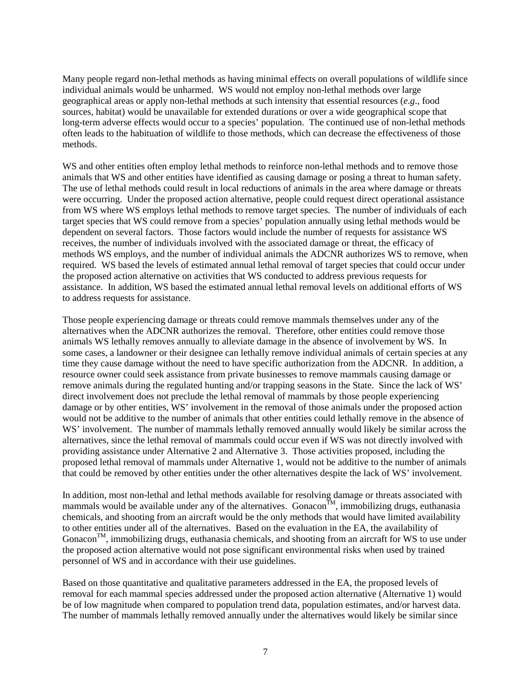Many people regard non-lethal methods as having minimal effects on overall populations of wildlife since individual animals would be unharmed. WS would not employ non-lethal methods over large geographical areas or apply non-lethal methods at such intensity that essential resources (*e*.*g*., food sources, habitat) would be unavailable for extended durations or over a wide geographical scope that long-term adverse effects would occur to a species' population. The continued use of non-lethal methods often leads to the habituation of wildlife to those methods, which can decrease the effectiveness of those methods.

WS and other entities often employ lethal methods to reinforce non-lethal methods and to remove those animals that WS and other entities have identified as causing damage or posing a threat to human safety. The use of lethal methods could result in local reductions of animals in the area where damage or threats were occurring. Under the proposed action alternative, people could request direct operational assistance from WS where WS employs lethal methods to remove target species. The number of individuals of each target species that WS could remove from a species' population annually using lethal methods would be dependent on several factors. Those factors would include the number of requests for assistance WS receives, the number of individuals involved with the associated damage or threat, the efficacy of methods WS employs, and the number of individual animals the ADCNR authorizes WS to remove, when required. WS based the levels of estimated annual lethal removal of target species that could occur under the proposed action alternative on activities that WS conducted to address previous requests for assistance. In addition, WS based the estimated annual lethal removal levels on additional efforts of WS to address requests for assistance.

Those people experiencing damage or threats could remove mammals themselves under any of the alternatives when the ADCNR authorizes the removal. Therefore, other entities could remove those animals WS lethally removes annually to alleviate damage in the absence of involvement by WS. In some cases, a landowner or their designee can lethally remove individual animals of certain species at any time they cause damage without the need to have specific authorization from the ADCNR. In addition, a resource owner could seek assistance from private businesses to remove mammals causing damage or remove animals during the regulated hunting and/or trapping seasons in the State. Since the lack of WS' direct involvement does not preclude the lethal removal of mammals by those people experiencing damage or by other entities, WS' involvement in the removal of those animals under the proposed action would not be additive to the number of animals that other entities could lethally remove in the absence of WS' involvement. The number of mammals lethally removed annually would likely be similar across the alternatives, since the lethal removal of mammals could occur even if WS was not directly involved with providing assistance under Alternative 2 and Alternative 3. Those activities proposed, including the proposed lethal removal of mammals under Alternative 1, would not be additive to the number of animals that could be removed by other entities under the other alternatives despite the lack of WS' involvement.

In addition, most non-lethal and lethal methods available for resolving damage or threats associated with mammals would be available under any of the alternatives. Gonacon $\tilde{M}$ , immobilizing drugs, euthanasia chemicals, and shooting from an aircraft would be the only methods that would have limited availability to other entities under all of the alternatives. Based on the evaluation in the EA, the availability of  $G$ onacon<sup>TM</sup>, immobilizing drugs, euthanasia chemicals, and shooting from an aircraft for WS to use under the proposed action alternative would not pose significant environmental risks when used by trained personnel of WS and in accordance with their use guidelines.

Based on those quantitative and qualitative parameters addressed in the EA, the proposed levels of removal for each mammal species addressed under the proposed action alternative (Alternative 1) would be of low magnitude when compared to population trend data, population estimates, and/or harvest data. The number of mammals lethally removed annually under the alternatives would likely be similar since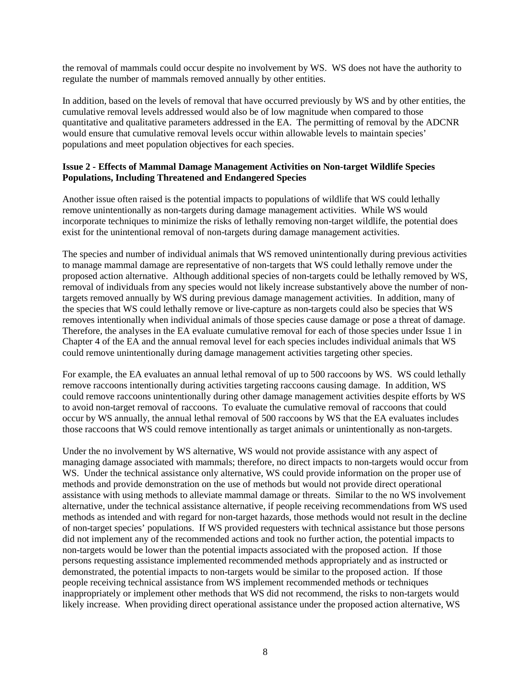the removal of mammals could occur despite no involvement by WS. WS does not have the authority to regulate the number of mammals removed annually by other entities.

In addition, based on the levels of removal that have occurred previously by WS and by other entities, the cumulative removal levels addressed would also be of low magnitude when compared to those quantitative and qualitative parameters addressed in the EA. The permitting of removal by the ADCNR would ensure that cumulative removal levels occur within allowable levels to maintain species' populations and meet population objectives for each species.

### **Issue 2 - Effects of Mammal Damage Management Activities on Non-target Wildlife Species Populations, Including Threatened and Endangered Species**

Another issue often raised is the potential impacts to populations of wildlife that WS could lethally remove unintentionally as non-targets during damage management activities. While WS would incorporate techniques to minimize the risks of lethally removing non-target wildlife, the potential does exist for the unintentional removal of non-targets during damage management activities.

The species and number of individual animals that WS removed unintentionally during previous activities to manage mammal damage are representative of non-targets that WS could lethally remove under the proposed action alternative. Although additional species of non-targets could be lethally removed by WS, removal of individuals from any species would not likely increase substantively above the number of nontargets removed annually by WS during previous damage management activities. In addition, many of the species that WS could lethally remove or live-capture as non-targets could also be species that WS removes intentionally when individual animals of those species cause damage or pose a threat of damage. Therefore, the analyses in the EA evaluate cumulative removal for each of those species under Issue 1 in Chapter 4 of the EA and the annual removal level for each species includes individual animals that WS could remove unintentionally during damage management activities targeting other species.

For example, the EA evaluates an annual lethal removal of up to 500 raccoons by WS. WS could lethally remove raccoons intentionally during activities targeting raccoons causing damage. In addition, WS could remove raccoons unintentionally during other damage management activities despite efforts by WS to avoid non-target removal of raccoons. To evaluate the cumulative removal of raccoons that could occur by WS annually, the annual lethal removal of 500 raccoons by WS that the EA evaluates includes those raccoons that WS could remove intentionally as target animals or unintentionally as non-targets.

Under the no involvement by WS alternative, WS would not provide assistance with any aspect of managing damage associated with mammals; therefore, no direct impacts to non-targets would occur from WS. Under the technical assistance only alternative, WS could provide information on the proper use of methods and provide demonstration on the use of methods but would not provide direct operational assistance with using methods to alleviate mammal damage or threats. Similar to the no WS involvement alternative, under the technical assistance alternative, if people receiving recommendations from WS used methods as intended and with regard for non-target hazards, those methods would not result in the decline of non-target species' populations. If WS provided requesters with technical assistance but those persons did not implement any of the recommended actions and took no further action, the potential impacts to non-targets would be lower than the potential impacts associated with the proposed action. If those persons requesting assistance implemented recommended methods appropriately and as instructed or demonstrated, the potential impacts to non-targets would be similar to the proposed action. If those people receiving technical assistance from WS implement recommended methods or techniques inappropriately or implement other methods that WS did not recommend, the risks to non-targets would likely increase. When providing direct operational assistance under the proposed action alternative, WS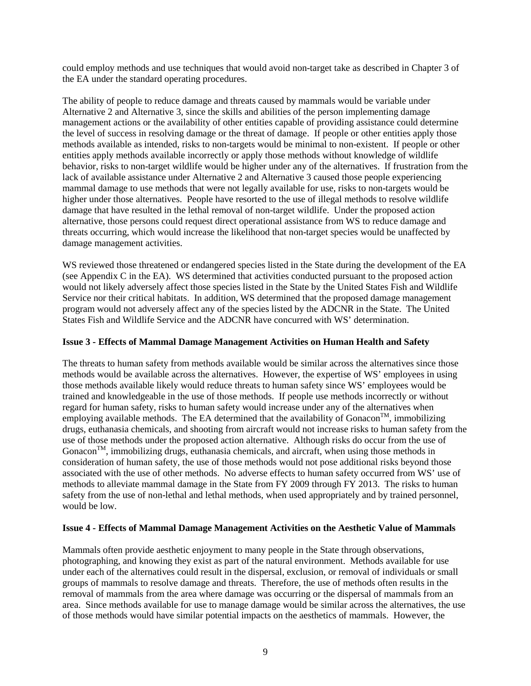could employ methods and use techniques that would avoid non-target take as described in Chapter 3 of the EA under the standard operating procedures.

The ability of people to reduce damage and threats caused by mammals would be variable under Alternative 2 and Alternative 3, since the skills and abilities of the person implementing damage management actions or the availability of other entities capable of providing assistance could determine the level of success in resolving damage or the threat of damage. If people or other entities apply those methods available as intended, risks to non-targets would be minimal to non-existent. If people or other entities apply methods available incorrectly or apply those methods without knowledge of wildlife behavior, risks to non-target wildlife would be higher under any of the alternatives. If frustration from the lack of available assistance under Alternative 2 and Alternative 3 caused those people experiencing mammal damage to use methods that were not legally available for use, risks to non-targets would be higher under those alternatives. People have resorted to the use of illegal methods to resolve wildlife damage that have resulted in the lethal removal of non-target wildlife. Under the proposed action alternative, those persons could request direct operational assistance from WS to reduce damage and threats occurring, which would increase the likelihood that non-target species would be unaffected by damage management activities.

WS reviewed those threatened or endangered species listed in the State during the development of the EA (see Appendix C in the EA). WS determined that activities conducted pursuant to the proposed action would not likely adversely affect those species listed in the State by the United States Fish and Wildlife Service nor their critical habitats. In addition, WS determined that the proposed damage management program would not adversely affect any of the species listed by the ADCNR in the State. The United States Fish and Wildlife Service and the ADCNR have concurred with WS' determination.

### **Issue 3 - Effects of Mammal Damage Management Activities on Human Health and Safety**

The threats to human safety from methods available would be similar across the alternatives since those methods would be available across the alternatives. However, the expertise of WS' employees in using those methods available likely would reduce threats to human safety since WS' employees would be trained and knowledgeable in the use of those methods. If people use methods incorrectly or without regard for human safety, risks to human safety would increase under any of the alternatives when employing available methods. The EA determined that the availability of Gonacon<sup>TM</sup>, immobilizing drugs, euthanasia chemicals, and shooting from aircraft would not increase risks to human safety from the use of those methods under the proposed action alternative. Although risks do occur from the use of Gonacon<sup>TM</sup>, immobilizing drugs, euthanasia chemicals, and aircraft, when using those methods in consideration of human safety, the use of those methods would not pose additional risks beyond those associated with the use of other methods. No adverse effects to human safety occurred from WS' use of methods to alleviate mammal damage in the State from FY 2009 through FY 2013. The risks to human safety from the use of non-lethal and lethal methods, when used appropriately and by trained personnel, would be low.

### **Issue 4 - Effects of Mammal Damage Management Activities on the Aesthetic Value of Mammals**

Mammals often provide aesthetic enjoyment to many people in the State through observations, photographing, and knowing they exist as part of the natural environment. Methods available for use under each of the alternatives could result in the dispersal, exclusion, or removal of individuals or small groups of mammals to resolve damage and threats. Therefore, the use of methods often results in the removal of mammals from the area where damage was occurring or the dispersal of mammals from an area. Since methods available for use to manage damage would be similar across the alternatives, the use of those methods would have similar potential impacts on the aesthetics of mammals. However, the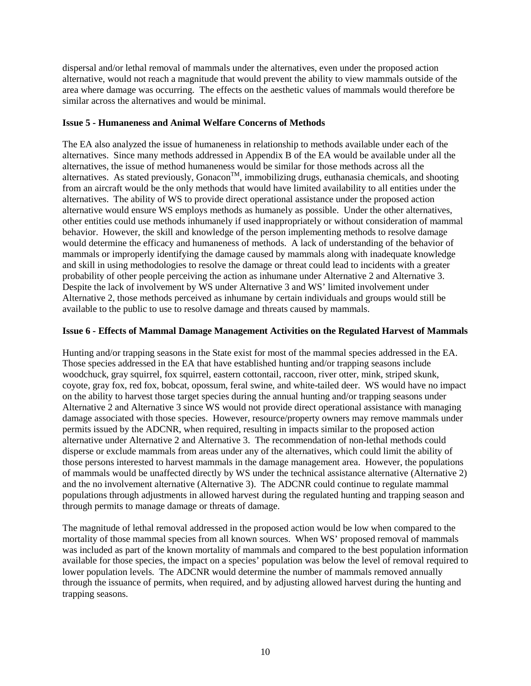dispersal and/or lethal removal of mammals under the alternatives, even under the proposed action alternative, would not reach a magnitude that would prevent the ability to view mammals outside of the area where damage was occurring. The effects on the aesthetic values of mammals would therefore be similar across the alternatives and would be minimal.

#### **Issue 5 - Humaneness and Animal Welfare Concerns of Methods**

The EA also analyzed the issue of humaneness in relationship to methods available under each of the alternatives. Since many methods addressed in Appendix B of the EA would be available under all the alternatives, the issue of method humaneness would be similar for those methods across all the alternatives. As stated previously, Gonacon<sup>TM</sup>, immobilizing drugs, euthanasia chemicals, and shooting from an aircraft would be the only methods that would have limited availability to all entities under the alternatives. The ability of WS to provide direct operational assistance under the proposed action alternative would ensure WS employs methods as humanely as possible. Under the other alternatives, other entities could use methods inhumanely if used inappropriately or without consideration of mammal behavior. However, the skill and knowledge of the person implementing methods to resolve damage would determine the efficacy and humaneness of methods. A lack of understanding of the behavior of mammals or improperly identifying the damage caused by mammals along with inadequate knowledge and skill in using methodologies to resolve the damage or threat could lead to incidents with a greater probability of other people perceiving the action as inhumane under Alternative 2 and Alternative 3. Despite the lack of involvement by WS under Alternative 3 and WS' limited involvement under Alternative 2, those methods perceived as inhumane by certain individuals and groups would still be available to the public to use to resolve damage and threats caused by mammals.

### **Issue 6 - Effects of Mammal Damage Management Activities on the Regulated Harvest of Mammals**

Hunting and/or trapping seasons in the State exist for most of the mammal species addressed in the EA. Those species addressed in the EA that have established hunting and/or trapping seasons include woodchuck, gray squirrel, fox squirrel, eastern cottontail, raccoon, river otter, mink, striped skunk, coyote, gray fox, red fox, bobcat, opossum, feral swine, and white-tailed deer. WS would have no impact on the ability to harvest those target species during the annual hunting and/or trapping seasons under Alternative 2 and Alternative 3 since WS would not provide direct operational assistance with managing damage associated with those species. However, resource/property owners may remove mammals under permits issued by the ADCNR, when required, resulting in impacts similar to the proposed action alternative under Alternative 2 and Alternative 3. The recommendation of non-lethal methods could disperse or exclude mammals from areas under any of the alternatives, which could limit the ability of those persons interested to harvest mammals in the damage management area. However, the populations of mammals would be unaffected directly by WS under the technical assistance alternative (Alternative 2) and the no involvement alternative (Alternative 3). The ADCNR could continue to regulate mammal populations through adjustments in allowed harvest during the regulated hunting and trapping season and through permits to manage damage or threats of damage.

The magnitude of lethal removal addressed in the proposed action would be low when compared to the mortality of those mammal species from all known sources. When WS' proposed removal of mammals was included as part of the known mortality of mammals and compared to the best population information available for those species, the impact on a species' population was below the level of removal required to lower population levels. The ADCNR would determine the number of mammals removed annually through the issuance of permits, when required, and by adjusting allowed harvest during the hunting and trapping seasons.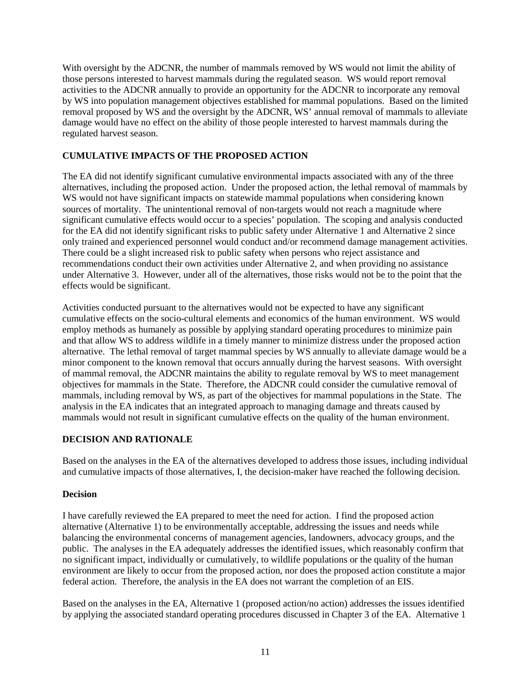With oversight by the ADCNR, the number of mammals removed by WS would not limit the ability of those persons interested to harvest mammals during the regulated season. WS would report removal activities to the ADCNR annually to provide an opportunity for the ADCNR to incorporate any removal by WS into population management objectives established for mammal populations. Based on the limited removal proposed by WS and the oversight by the ADCNR, WS' annual removal of mammals to alleviate damage would have no effect on the ability of those people interested to harvest mammals during the regulated harvest season.

# **CUMULATIVE IMPACTS OF THE PROPOSED ACTION**

The EA did not identify significant cumulative environmental impacts associated with any of the three alternatives, including the proposed action. Under the proposed action, the lethal removal of mammals by WS would not have significant impacts on statewide mammal populations when considering known sources of mortality. The unintentional removal of non-targets would not reach a magnitude where significant cumulative effects would occur to a species' population. The scoping and analysis conducted for the EA did not identify significant risks to public safety under Alternative 1 and Alternative 2 since only trained and experienced personnel would conduct and/or recommend damage management activities. There could be a slight increased risk to public safety when persons who reject assistance and recommendations conduct their own activities under Alternative 2, and when providing no assistance under Alternative 3. However, under all of the alternatives, those risks would not be to the point that the effects would be significant.

Activities conducted pursuant to the alternatives would not be expected to have any significant cumulative effects on the socio-cultural elements and economics of the human environment. WS would employ methods as humanely as possible by applying standard operating procedures to minimize pain and that allow WS to address wildlife in a timely manner to minimize distress under the proposed action alternative. The lethal removal of target mammal species by WS annually to alleviate damage would be a minor component to the known removal that occurs annually during the harvest seasons. With oversight of mammal removal, the ADCNR maintains the ability to regulate removal by WS to meet management objectives for mammals in the State. Therefore, the ADCNR could consider the cumulative removal of mammals, including removal by WS, as part of the objectives for mammal populations in the State. The analysis in the EA indicates that an integrated approach to managing damage and threats caused by mammals would not result in significant cumulative effects on the quality of the human environment.

# **DECISION AND RATIONALE**

Based on the analyses in the EA of the alternatives developed to address those issues, including individual and cumulative impacts of those alternatives, I, the decision-maker have reached the following decision.

# **Decision**

I have carefully reviewed the EA prepared to meet the need for action. I find the proposed action alternative (Alternative 1) to be environmentally acceptable, addressing the issues and needs while balancing the environmental concerns of management agencies, landowners, advocacy groups, and the public. The analyses in the EA adequately addresses the identified issues, which reasonably confirm that no significant impact, individually or cumulatively, to wildlife populations or the quality of the human environment are likely to occur from the proposed action, nor does the proposed action constitute a major federal action. Therefore, the analysis in the EA does not warrant the completion of an EIS.

Based on the analyses in the EA, Alternative 1 (proposed action/no action) addresses the issues identified by applying the associated standard operating procedures discussed in Chapter 3 of the EA. Alternative 1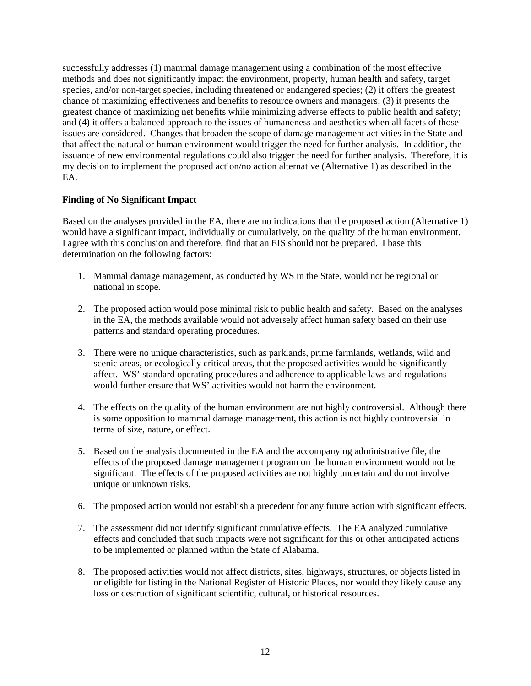successfully addresses (1) mammal damage management using a combination of the most effective methods and does not significantly impact the environment, property, human health and safety, target species, and/or non-target species, including threatened or endangered species; (2) it offers the greatest chance of maximizing effectiveness and benefits to resource owners and managers; (3) it presents the greatest chance of maximizing net benefits while minimizing adverse effects to public health and safety; and (4) it offers a balanced approach to the issues of humaneness and aesthetics when all facets of those issues are considered. Changes that broaden the scope of damage management activities in the State and that affect the natural or human environment would trigger the need for further analysis. In addition, the issuance of new environmental regulations could also trigger the need for further analysis. Therefore, it is my decision to implement the proposed action/no action alternative (Alternative 1) as described in the EA.

### **Finding of No Significant Impact**

Based on the analyses provided in the EA, there are no indications that the proposed action (Alternative 1) would have a significant impact, individually or cumulatively, on the quality of the human environment. I agree with this conclusion and therefore, find that an EIS should not be prepared. I base this determination on the following factors:

- 1. Mammal damage management, as conducted by WS in the State, would not be regional or national in scope.
- 2. The proposed action would pose minimal risk to public health and safety. Based on the analyses in the EA, the methods available would not adversely affect human safety based on their use patterns and standard operating procedures.
- 3. There were no unique characteristics, such as parklands, prime farmlands, wetlands, wild and scenic areas, or ecologically critical areas, that the proposed activities would be significantly affect. WS' standard operating procedures and adherence to applicable laws and regulations would further ensure that WS' activities would not harm the environment.
- 4. The effects on the quality of the human environment are not highly controversial. Although there is some opposition to mammal damage management, this action is not highly controversial in terms of size, nature, or effect.
- 5. Based on the analysis documented in the EA and the accompanying administrative file, the effects of the proposed damage management program on the human environment would not be significant. The effects of the proposed activities are not highly uncertain and do not involve unique or unknown risks.
- 6. The proposed action would not establish a precedent for any future action with significant effects.
- 7. The assessment did not identify significant cumulative effects. The EA analyzed cumulative effects and concluded that such impacts were not significant for this or other anticipated actions to be implemented or planned within the State of Alabama.
- 8. The proposed activities would not affect districts, sites, highways, structures, or objects listed in or eligible for listing in the National Register of Historic Places, nor would they likely cause any loss or destruction of significant scientific, cultural, or historical resources.